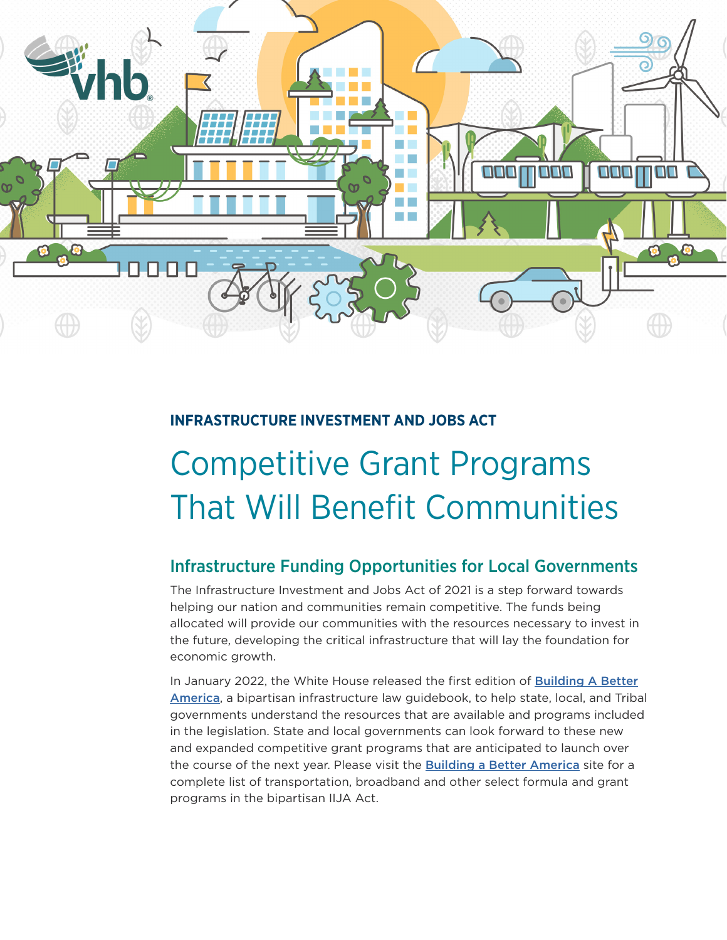

### **INFRASTRUCTURE INVESTMENT AND JOBS ACT**

# Competitive Grant Programs That Will Benefit Communities

## Infrastructure Funding Opportunities for Local Governments

The Infrastructure Investment and Jobs Act of 2021 is a step forward towards helping our nation and communities remain competitive. The funds being allocated will provide our communities with the resources necessary to invest in the future, developing the critical infrastructure that will lay the foundation for economic growth.

In January 2022, the White House released the first edition of **[Building A Better](https://www.whitehouse.gov/wp-content/uploads/2022/01/BUILDING-A-BETTER-AMERICA_FINAL.pdf)** [America](https://www.whitehouse.gov/wp-content/uploads/2022/01/BUILDING-A-BETTER-AMERICA_FINAL.pdf), a bipartisan infrastructure law guidebook, to help state, local, and Tribal governments understand the resources that are available and programs included in the legislation. State and local governments can look forward to these new and expanded competitive grant programs that are anticipated to launch over the course of the next year. Please visit the [Building a Better America](https://www.whitehouse.gov/build/) site for a complete list of transportation, broadband and other select formula and grant programs in the bipartisan IIJA Act.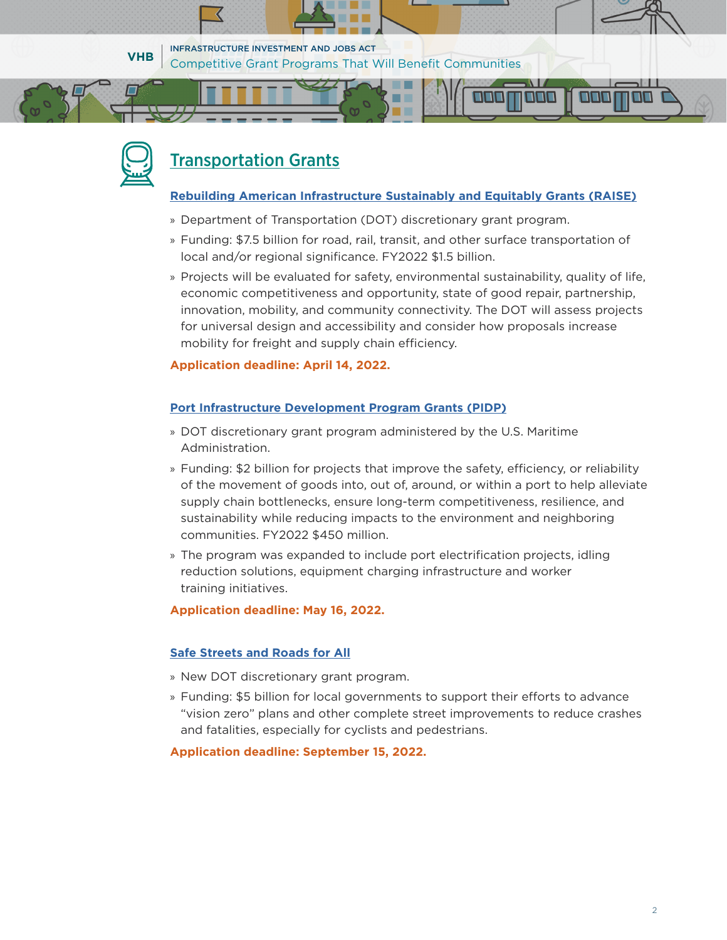



# [Transportation Grants](https://www.transportation.gov/grants)

#### **[Rebuilding American Infrastructure Sustainably and Equitably Grants \(RAISE\)](https://urldefense.com/v3/__https:/www.transportation.gov/RAISEgrants__;!!Bg5easoyC-OII2vlEqY8mTBrtW-N4OJKAQ!Zy9xzVutz01Y5GYONIkAlSFiDt5MNBE_19q-0D5gMB7PVfAp0phcpXfzKfW9PJaxqRQiKvA$)**

a a s

- » Department of Transportation (DOT) discretionary grant program.
- » Funding: \$7.5 billion for road, rail, transit, and other surface transportation of local and/or regional significance. FY2022 \$1.5 billion.
- » Projects will be evaluated for safety, environmental sustainability, quality of life, economic competitiveness and opportunity, state of good repair, partnership, innovation, mobility, and community connectivity. The DOT will assess projects for universal design and accessibility and consider how proposals increase mobility for freight and supply chain efficiency.

#### **Application deadline: April 14, 2022.**

#### **[Port Infrastructure Development Program Grants \(PIDP\)](https://urldefense.com/v3/__https:/www.maritime.dot.gov/PIDPgrants__;!!Bg5easoyC-OII2vlEqY8mTBrtW-N4OJKAQ!Zy9xzVutz01Y5GYONIkAlSFiDt5MNBE_19q-0D5gMB7PVfAp0phcpXfzKfW9PJax60HIhno$)**

- » DOT discretionary grant program administered by the U.S. Maritime Administration.
- » Funding: \$2 billion for projects that improve the safety, efficiency, or reliability of the movement of goods into, out of, around, or within a port to help alleviate supply chain bottlenecks, ensure long-term competitiveness, resilience, and sustainability while reducing impacts to the environment and neighboring communities. FY2022 \$450 million.
- » The program was expanded to include port electrification projects, idling reduction solutions, equipment charging infrastructure and worker training initiatives.

**Application deadline: May 16, 2022.**

#### **[Safe Streets and Roads for All](https://www.transportation.gov/grants/SS4A)**

- » New DOT discretionary grant program.
- » Funding: \$5 billion for local governments to support their efforts to advance "vision zero" plans and other complete street improvements to reduce crashes and fatalities, especially for cyclists and pedestrians.

#### **Application deadline: September 15, 2022.**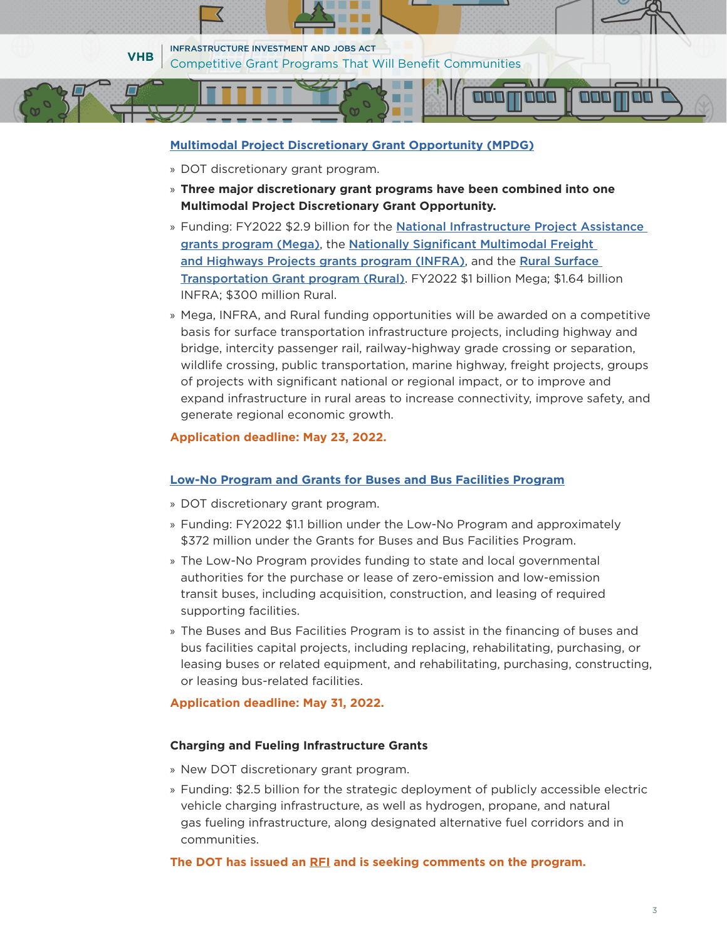

#### **[Multimodal Project Discretionary Grant Opportunity \(MPDG\)](https://nam04.safelinks.protection.outlook.com/?url=https%3A%2F%2Fwww.transportation.gov%2Fgrants%2Fmpdg-announcement&data=04%7C01%7Ccedwards%40VHB.com%7C5ae58cf80641438d3a3908da0e639dc8%7C365c5e99f68f4beb89d9abecb41b1a1b%7C0%7C0%7C637838118248957039%7CUnknown%7CTWFpbGZsb3d8eyJWIjoiMC4wLjAwMDAiLCJQIjoiV2luMzIiLCJBTiI6Ik1haWwiLCJXVCI6Mn0%3D%7C3000&sdata=F7LzXsAFrCWwSpr9XnE%2BvYuXkR4cdaSrUkKQyzLzqvM%3D&reserved=0)**

- » DOT discretionary grant program.
- » **Three major discretionary grant programs have been combined into one Multimodal Project Discretionary Grant Opportunity.**
- » Funding: FY2022 \$2.9 billion for the [National Infrastructure Project Assistance](https://nam04.safelinks.protection.outlook.com/?url=https%3A%2F%2Fwww.transportation.gov%2Fgrants%2Fmega-grant-program&data=04%7C01%7Ccedwards%40VHB.com%7C5ae58cf80641438d3a3908da0e639dc8%7C365c5e99f68f4beb89d9abecb41b1a1b%7C0%7C0%7C637838118248957039%7CUnknown%7CTWFpbGZsb3d8eyJWIjoiMC4wLjAwMDAiLCJQIjoiV2luMzIiLCJBTiI6Ik1haWwiLCJXVCI6Mn0%3D%7C3000&sdata=I%2FXTI5cOjDy%2BbRrRbJqfyj44c1iQChPhmunsNXA47No%3D&reserved=0)  [grants program \(Mega\)](https://nam04.safelinks.protection.outlook.com/?url=https%3A%2F%2Fwww.transportation.gov%2Fgrants%2Fmega-grant-program&data=04%7C01%7Ccedwards%40VHB.com%7C5ae58cf80641438d3a3908da0e639dc8%7C365c5e99f68f4beb89d9abecb41b1a1b%7C0%7C0%7C637838118248957039%7CUnknown%7CTWFpbGZsb3d8eyJWIjoiMC4wLjAwMDAiLCJQIjoiV2luMzIiLCJBTiI6Ik1haWwiLCJXVCI6Mn0%3D%7C3000&sdata=I%2FXTI5cOjDy%2BbRrRbJqfyj44c1iQChPhmunsNXA47No%3D&reserved=0), the [Nationally Significant Multimodal Freight](https://nam04.safelinks.protection.outlook.com/?url=https%3A%2F%2Fwww.transportation.gov%2Fgrants%2Finfra-grants-program&data=04%7C01%7Ccedwards%40VHB.com%7C5ae58cf80641438d3a3908da0e639dc8%7C365c5e99f68f4beb89d9abecb41b1a1b%7C0%7C0%7C637838118248957039%7CUnknown%7CTWFpbGZsb3d8eyJWIjoiMC4wLjAwMDAiLCJQIjoiV2luMzIiLCJBTiI6Ik1haWwiLCJXVCI6Mn0%3D%7C3000&sdata=KU6sTh9BcUfPUrQ%2FON6CVT3ny1lt2lpPTBFnnvzfnms%3D&reserved=0)  [and Highways Projects grants program \(INFRA\)](https://nam04.safelinks.protection.outlook.com/?url=https%3A%2F%2Fwww.transportation.gov%2Fgrants%2Finfra-grants-program&data=04%7C01%7Ccedwards%40VHB.com%7C5ae58cf80641438d3a3908da0e639dc8%7C365c5e99f68f4beb89d9abecb41b1a1b%7C0%7C0%7C637838118248957039%7CUnknown%7CTWFpbGZsb3d8eyJWIjoiMC4wLjAwMDAiLCJQIjoiV2luMzIiLCJBTiI6Ik1haWwiLCJXVCI6Mn0%3D%7C3000&sdata=KU6sTh9BcUfPUrQ%2FON6CVT3ny1lt2lpPTBFnnvzfnms%3D&reserved=0), and the Rural Surface [Transportation Grant program \(Rural\)](https://nam04.safelinks.protection.outlook.com/?url=https%3A%2F%2Fwww.transportation.gov%2Fgrants%2Frural-surface-transportation-grant&data=04%7C01%7Ccedwards%40VHB.com%7C5ae58cf80641438d3a3908da0e639dc8%7C365c5e99f68f4beb89d9abecb41b1a1b%7C0%7C0%7C637838118248957039%7CUnknown%7CTWFpbGZsb3d8eyJWIjoiMC4wLjAwMDAiLCJQIjoiV2luMzIiLCJBTiI6Ik1haWwiLCJXVCI6Mn0%3D%7C3000&sdata=kBHYxSfZrMoHvaFevkLVz0ERf7KHtKqmwuJzOSVVw0A%3D&reserved=0). FY2022 \$1 billion Mega; \$1.64 billion INFRA; \$300 million Rural.
- » Mega, INFRA, and Rural funding opportunities will be awarded on a competitive basis for surface transportation infrastructure projects, including highway and bridge, intercity passenger rail, railway-highway grade crossing or separation, wildlife crossing, public transportation, marine highway, freight projects, groups of projects with significant national or regional impact, or to improve and expand infrastructure in rural areas to increase connectivity, improve safety, and generate regional economic growth.

#### **Application deadline: May 23, 2022.**

#### **[Low-No Program and Grants for Buses and Bus Facilities Program](https://www.transit.dot.gov/notices-funding/low-or-no-emission-and-grants-buses-and-bus-facilities-competitive-programs-fy2022)**

- » DOT discretionary grant program.
- » Funding: FY2022 \$1.1 billion under the Low-No Program and approximately \$372 million under the Grants for Buses and Bus Facilities Program.
- » The Low-No Program provides funding to state and local governmental authorities for the purchase or lease of zero-emission and low-emission transit buses, including acquisition, construction, and leasing of required supporting facilities.
- » The Buses and Bus Facilities Program is to assist in the financing of buses and bus facilities capital projects, including replacing, rehabilitating, purchasing, or leasing buses or related equipment, and rehabilitating, purchasing, constructing, or leasing bus-related facilities.

#### **Application deadline: May 31, 2022.**

#### **Charging and Fueling Infrastructure Grants**

- » New DOT discretionary grant program.
- » Funding: \$2.5 billion for the strategic deployment of publicly accessible electric vehicle charging infrastructure, as well as hydrogen, propane, and natural gas fueling infrastructure, along designated alternative fuel corridors and in communities.

#### **The DOT has issued an [RFI](https://urldefense.com/v3/__https:/www.federalregister.gov/documents/2021/12/01/2021-26145/infrastructure-and-investment-jobs-act-request-for-information__;!!Bg5easoyC-OII2vlEqY8mTBrtW-N4OJKAQ!Zy9xzVutz01Y5GYONIkAlSFiDt5MNBE_19q-0D5gMB7PVfAp0phcpXfzKfW9PJaxIvHbTVs$) and is seeking comments on the program.**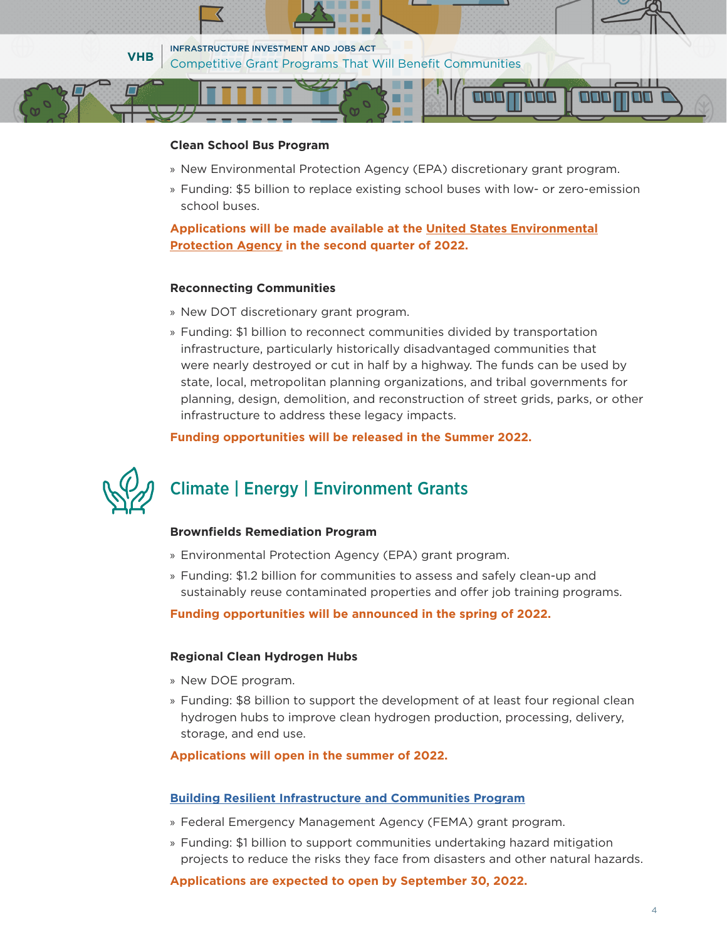

#### **Clean School Bus Program**

- » New Environmental Protection Agency (EPA) discretionary grant program.
- » Funding: \$5 billion to replace existing school buses with low- or zero-emission school buses.

**Applications will be made available at the [United States Environmental](https://www.epa.gov/cleanschoolbus) [Protection Agency](https://www.epa.gov/cleanschoolbus) in the second quarter of 2022.** 

#### **Reconnecting Communities**

- » New DOT discretionary grant program.
- » Funding: \$1 billion to reconnect communities divided by transportation infrastructure, particularly historically disadvantaged communities that were nearly destroyed or cut in half by a highway. The funds can be used by state, local, metropolitan planning organizations, and tribal governments for planning, design, demolition, and reconstruction of street grids, parks, or other infrastructure to address these legacy impacts.

**Funding opportunities will be released in the Summer 2022.**

# Climate | Energy | Environment Grants

#### **[Brownfields Remediation Program](https://urldefense.com/v3/__https:/www.epa.gov/brownfields__;!!Bg5easoyC-OII2vlEqY8mTBrtW-N4OJKAQ!Zy9xzVutz01Y5GYONIkAlSFiDt5MNBE_19q-0D5gMB7PVfAp0phcpXfzKfW9PJaxtyKd-Ps$)**

- » Environmental Protection Agency (EPA) grant program.
- » Funding: \$1.2 billion for communities to assess and safely clean-up and sustainably reuse contaminated properties and offer job training programs.

**Funding opportunities will be announced in the spring of 2022.**

#### **Regional Clean Hydrogen Hubs**

- » New DOE program.
- » Funding: \$8 billion to support the development of at least four regional clean hydrogen hubs to improve clean hydrogen production, processing, delivery, storage, and end use.

#### **Applications will open in the summer of 2022.**

#### **[Building Resilient Infrastructure and Communities Program](https://www.fema.gov/grants/mitigation/building-resilient-infrastructure-communities#:~:text=Building%20Resilient%20Infrastructure%20and%20Communities%20(BRIC)%20will%20support%20states%2C,from%20disasters%20and%20natural%20hazards.)**

- » Federal Emergency Management Agency (FEMA) grant program.
- » Funding: \$1 billion to support communities undertaking hazard mitigation projects to reduce the risks they face from disasters and other natural hazards.

**Applications are expected to open by September 30, 2022.**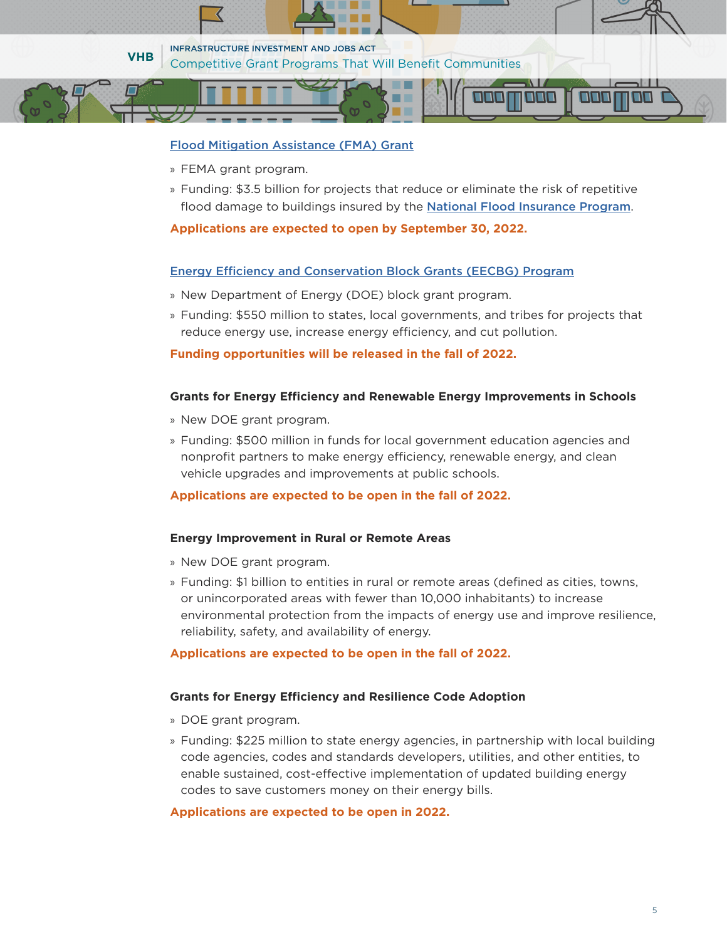#### [Flood Mitigation Assistance \(FMA\) Grant](https://www.fema.gov/grants/mitigation/floods)

- » FEMA grant program.
- » Funding: \$3.5 billion for projects that reduce or eliminate the risk of repetitive flood damage to buildings insured by the **[National Flood Insurance Program](https://urldefense.com/v3/__https:/www.fema.gov/flood-insurance__;!!Bg5easoyC-OII2vlEqY8mTBrtW-N4OJKAQ!Zy9xzVutz01Y5GYONIkAlSFiDt5MNBE_19q-0D5gMB7PVfAp0phcpXfzKfW9PJaxK4tnDwM$)**.

I II I

#### **Applications are expected to open by September 30, 2022.**

#### [Energy Efficiency and Conservation Block Grants \(EECBG\) Program](https://urldefense.com/v3/__https:/www.energy.gov/eere/wipo/energy-efficiency-and-conservation-block-grant-program__;!!Bg5easoyC-OII2vlEqY8mTBrtW-N4OJKAQ!Zy9xzVutz01Y5GYONIkAlSFiDt5MNBE_19q-0D5gMB7PVfAp0phcpXfzKfW9PJaxp_XMaDs$)

- » New Department of Energy (DOE) block grant program.
- » Funding: \$550 million to states, local governments, and tribes for projects that reduce energy use, increase energy efficiency, and cut pollution.

#### **Funding opportunities will be released in the fall of 2022.**

#### **Grants for Energy Efficiency and Renewable Energy Improvements in Schools**

- » New DOE grant program.
- » Funding: \$500 million in funds for local government education agencies and nonprofit partners to make energy efficiency, renewable energy, and clean vehicle upgrades and improvements at public schools.

#### **Applications are expected to be open in the fall of 2022.**

#### **Energy Improvement in Rural or Remote Areas**

- » New DOE grant program.
- » Funding: \$1 billion to entities in rural or remote areas (defined as cities, towns, or unincorporated areas with fewer than 10,000 inhabitants) to increase environmental protection from the impacts of energy use and improve resilience, reliability, safety, and availability of energy.

#### **Applications are expected to be open in the fall of 2022.**

#### **Grants for Energy Efficiency and Resilience Code Adoption**

- » DOE grant program.
- » Funding: \$225 million to state energy agencies, in partnership with local building code agencies, codes and standards developers, utilities, and other entities, to enable sustained, cost-effective implementation of updated building energy codes to save customers money on their energy bills.

#### **Applications are expected to be open in 2022.**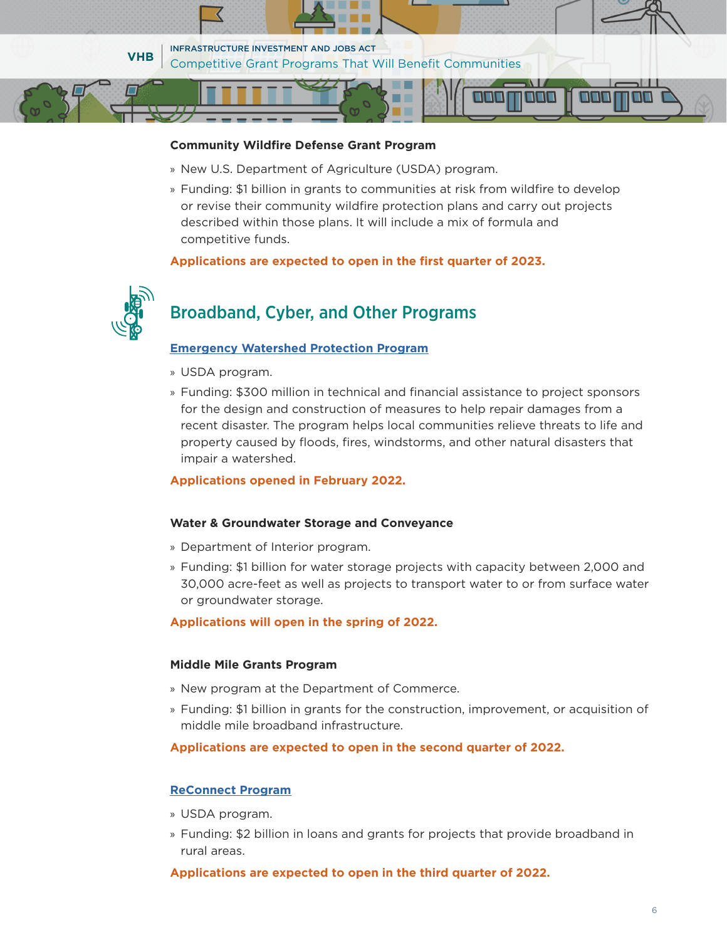

#### **Community Wildfire Defense Grant Program**

- » New U.S. Department of Agriculture (USDA) program.
- » Funding: \$1 billion in grants to communities at risk from wildfire to develop or revise their community wildfire protection plans and carry out projects described within those plans. It will include a mix of formula and competitive funds.

#### **Applications are expected to open in the first quarter of 2023.**



## Broadband, Cyber, and Other Programs

#### **[Emergency Watershed Protection Program](https://urldefense.com/v3/__https:/www.nrcs.usda.gov/wps/portal/nrcs/main/national/programs/landscape/ewpp/__;!!Bg5easoyC-OII2vlEqY8mTBrtW-N4OJKAQ!Zy9xzVutz01Y5GYONIkAlSFiDt5MNBE_19q-0D5gMB7PVfAp0phcpXfzKfW9PJaxsa5teps$)**

- » USDA program.
- » Funding: \$300 million in technical and financial assistance to project sponsors for the design and construction of measures to help repair damages from a recent disaster. The program helps local communities relieve threats to life and property caused by floods, fires, windstorms, and other natural disasters that impair a watershed.

#### **Applications opened in February 2022.**

#### **Water & Groundwater Storage and Conveyance**

- » Department of Interior program.
- » Funding: \$1 billion for water storage projects with capacity between 2,000 and 30,000 acre-feet as well as projects to transport water to or from surface water or groundwater storage.

#### **Applications will open in the spring of 2022.**

#### **Middle Mile Grants Program**

- » New program at the Department of Commerce.
- » Funding: \$1 billion in grants for the construction, improvement, or acquisition of middle mile broadband infrastructure.

**Applications are expected to open in the second quarter of 2022.**

#### **[ReConnect Program](https://urldefense.com/v3/__https:/www.usda.gov/reconnect__;!!Bg5easoyC-OII2vlEqY8mTBrtW-N4OJKAQ!Zy9xzVutz01Y5GYONIkAlSFiDt5MNBE_19q-0D5gMB7PVfAp0phcpXfzKfW9PJax2tx0L0I$)**

- » USDA program.
- » Funding: \$2 billion in loans and grants for projects that provide broadband in rural areas.

**Applications are expected to open in the third quarter of 2022.**